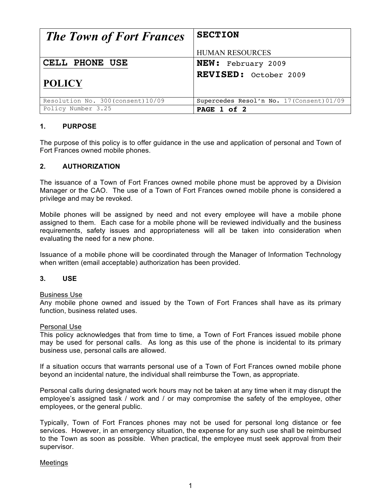| <b>The Town of Fort Frances</b>    | <b>SECTION</b>                            |
|------------------------------------|-------------------------------------------|
|                                    | <b>HUMAN RESOURCES</b>                    |
| CELL PHONE USE                     | <b>NEW:</b> February 2009                 |
| <b>POLICY</b>                      | <b>REVISED:</b> October 2009              |
| Resolution No. 300 (consent) 10/09 | Supercedes Resol'n No. 17 (Consent) 01/09 |
| Policy Number 3.25                 | PAGE 1 of 2                               |

### **1. PURPOSE**

The purpose of this policy is to offer guidance in the use and application of personal and Town of Fort Frances owned mobile phones.

### **2. AUTHORIZATION**

The issuance of a Town of Fort Frances owned mobile phone must be approved by a Division Manager or the CAO. The use of a Town of Fort Frances owned mobile phone is considered a privilege and may be revoked.

Mobile phones will be assigned by need and not every employee will have a mobile phone assigned to them. Each case for a mobile phone will be reviewed individually and the business requirements, safety issues and appropriateness will all be taken into consideration when evaluating the need for a new phone.

Issuance of a mobile phone will be coordinated through the Manager of Information Technology when written (email acceptable) authorization has been provided.

#### **3. USE**

#### Business Use

Any mobile phone owned and issued by the Town of Fort Frances shall have as its primary function, business related uses.

#### Personal Use

This policy acknowledges that from time to time, a Town of Fort Frances issued mobile phone may be used for personal calls. As long as this use of the phone is incidental to its primary business use, personal calls are allowed.

If a situation occurs that warrants personal use of a Town of Fort Frances owned mobile phone beyond an incidental nature, the individual shall reimburse the Town, as appropriate.

Personal calls during designated work hours may not be taken at any time when it may disrupt the employee's assigned task / work and / or may compromise the safety of the employee, other employees, or the general public.

Typically, Town of Fort Frances phones may not be used for personal long distance or fee services. However, in an emergency situation, the expense for any such use shall be reimbursed to the Town as soon as possible. When practical, the employee must seek approval from their supervisor.

#### Meetings